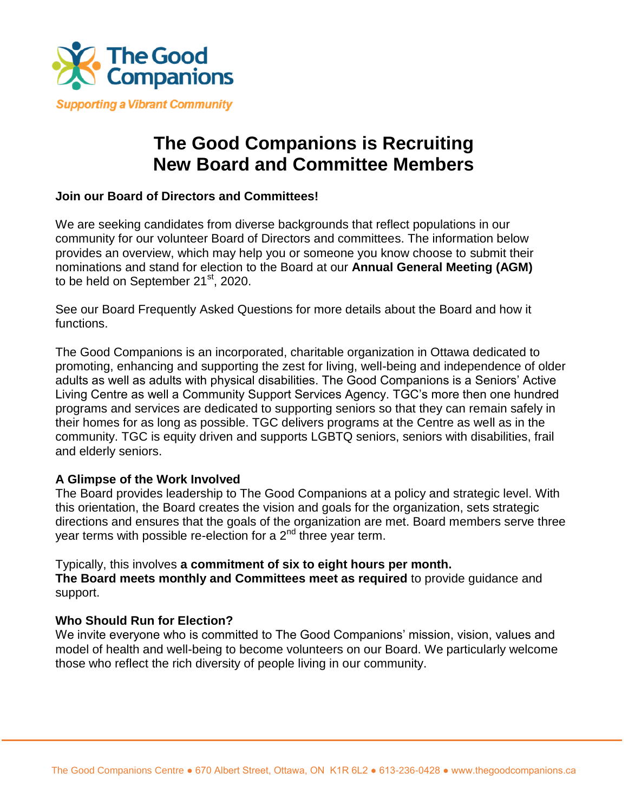

## **The Good Companions is Recruiting New Board and Committee Members**

## **Join our Board of Directors and Committees!**

We are seeking candidates from diverse backgrounds that reflect populations in our community for our volunteer Board of Directors and committees. The information below provides an overview, which may help you or someone you know choose to submit their nominations and stand for election to the Board at our **Annual General Meeting (AGM)**  to be held on September 21<sup>st</sup>, 2020.

See our Board Frequently Asked Questions for more details about the Board and how it functions.

The Good Companions is an incorporated, charitable organization in Ottawa dedicated to promoting, enhancing and supporting the zest for living, well-being and independence of older adults as well as adults with physical disabilities. The Good Companions is a Seniors' Active Living Centre as well a Community Support Services Agency. TGC's more then one hundred programs and services are dedicated to supporting seniors so that they can remain safely in their homes for as long as possible. TGC delivers programs at the Centre as well as in the community. TGC is equity driven and supports LGBTQ seniors, seniors with disabilities, frail and elderly seniors.

## **A Glimpse of the Work Involved**

The Board provides leadership to The Good Companions at a policy and strategic level. With this orientation, the Board creates the vision and goals for the organization, sets strategic directions and ensures that the goals of the organization are met. Board members serve three year terms with possible re-election for a  $2<sup>nd</sup>$  three year term.

Typically, this involves **a commitment of six to eight hours per month. The Board meets monthly and Committees meet as required** to provide guidance and support.

## **Who Should Run for Election?**

We invite everyone who is committed to The Good Companions' mission, vision, values and model of health and well-being to become volunteers on our Board. We particularly welcome those who reflect the rich diversity of people living in our community.